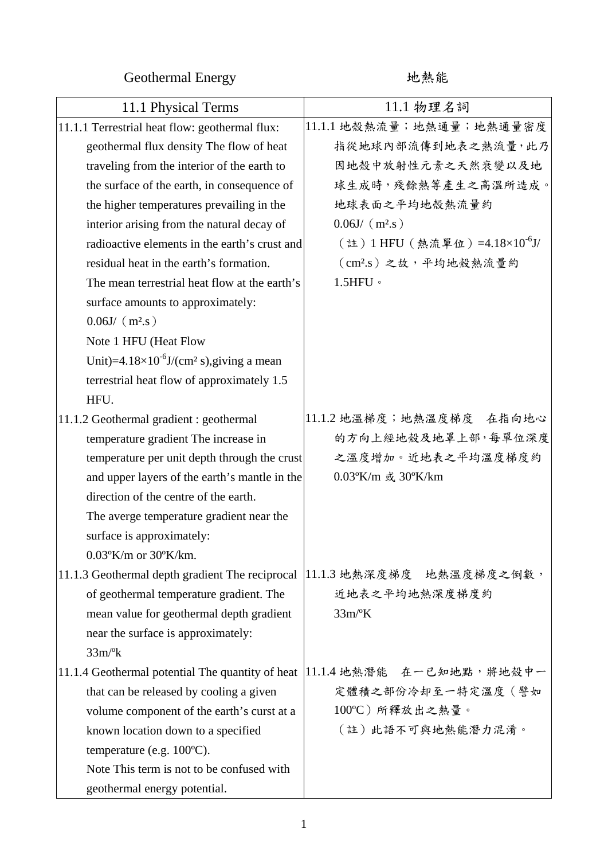Geothermal Energy http://www.facebook.com/

| 11.1 Physical Terms                                               | 11.1 物理名詞                                  |
|-------------------------------------------------------------------|--------------------------------------------|
| 11.1.1 Terrestrial heat flow: geothermal flux:                    | 11.1.1 地殼熱流量; 地熱通量; 地熱通量密度                 |
| geothermal flux density The flow of heat                          | 指從地球內部流傳到地表之熱流量,此乃                         |
| traveling from the interior of the earth to                       | 因地殻中放射性元素之天然衰變以及地                          |
| the surface of the earth, in consequence of                       | 球生成時,殘餘熱等產生之高溫所造成。                         |
| the higher temperatures prevailing in the                         | 地球表面之平均地殻熱流量約                              |
| interior arising from the natural decay of                        | $0.06J/$ (m <sup>2</sup> .s)               |
| radioactive elements in the earth's crust and                     | (註) 1 HFU (熱流單位) =4.18×10 <sup>-6</sup> J/ |
| residual heat in the earth's formation.                           | (cm2.s)之故,平均地殼熱流量約                         |
| The mean terrestrial heat flow at the earth's                     | $1.5$ HFU $\,\circ$                        |
| surface amounts to approximately:                                 |                                            |
| $0.06J/$ (m <sup>2</sup> .s)                                      |                                            |
| Note 1 HFU (Heat Flow                                             |                                            |
| Unit)= $4.18 \times 10^{-6}$ J/(cm <sup>2</sup> s), giving a mean |                                            |
| terrestrial heat flow of approximately 1.5                        |                                            |
| HFU.                                                              |                                            |
| 11.1.2 Geothermal gradient : geothermal                           | 11.1.2 地溫梯度; 地熱溫度梯度 在指向地心                  |
| temperature gradient The increase in                              | 的方向上經地殼及地罩上部,每單位深度                         |
| temperature per unit depth through the crust                      | 之溫度增加。近地表之平均溫度梯度約                          |
| and upper layers of the earth's mantle in the                     | 0.03°K/m 或 30°K/km                         |
| direction of the centre of the earth.                             |                                            |
| The averge temperature gradient near the                          |                                            |
| surface is approximately:                                         |                                            |
| $0.03$ <sup>o</sup> K/m or $30$ <sup>o</sup> K/km.                |                                            |
| 11.1.3 Geothermal depth gradient The reciprocal                   | 11.1.3 地熱深度梯度 地熱溫度梯度之倒數,                   |
| of geothermal temperature gradient. The                           | 近地表之平均地熱深度梯度約                              |
| mean value for geothermal depth gradient                          | $33m$ <sup>o</sup> K                       |
| near the surface is approximately:                                |                                            |
| $33m$ <sup>o</sup> k                                              |                                            |
| 11.1.4 Geothermal potential The quantity of heat                  | 11.1.4 地熱潛能 在一已知地點,將地殼中一                   |
| that can be released by cooling a given                           | 定體積之部份冷却至一特定溫度(譬如                          |
| volume component of the earth's curst at a                        | 100℃)所釋放出之熱量。                              |
| known location down to a specified                                | (註)此語不可與地熱能潛力混淆。                           |
| temperature (e.g. $100^{\circ}$ C).                               |                                            |
| Note This term is not to be confused with                         |                                            |
| geothermal energy potential.                                      |                                            |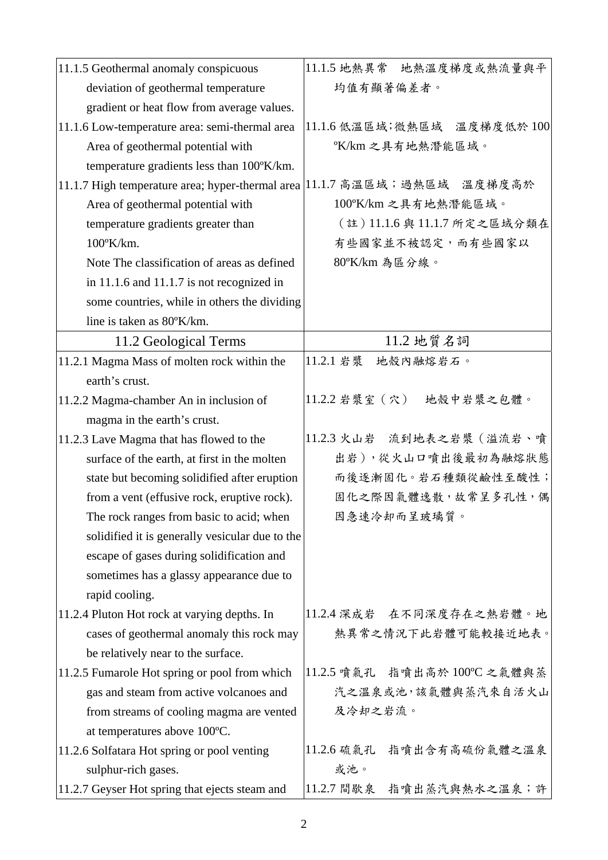| 11.1.5 Geothermal anomaly conspicuous                                    | 11.1.5 地熱異常 地熱溫度梯度或熱流量與平     |
|--------------------------------------------------------------------------|------------------------------|
| deviation of geothermal temperature                                      | 均值有顯著偏差者。                    |
| gradient or heat flow from average values.                               |                              |
| 11.1.6 Low-temperature area: semi-thermal area                           | 11.1.6 低溫區域;微熱區域 溫度梯度低於100   |
| Area of geothermal potential with                                        | °K/km 之具有地熱潛能區域。             |
| temperature gradients less than 100°K/km.                                |                              |
| 11.1.7 High temperature area; hyper-thermal area 11.1.7 高溫區域;過熱區域 溫度梯度高於 |                              |
| Area of geothermal potential with                                        | 100°K/km 之具有地熱潛能區域。          |
| temperature gradients greater than                                       | (註) 11.1.6 與 11.1.7 所定之區域分類在 |
| $100^{\circ}$ K/km.                                                      | 有些國家並不被認定,而有些國家以             |
| Note The classification of areas as defined                              | 80°K/km 為區分線。                |
| in $11.1.6$ and $11.1.7$ is not recognized in                            |                              |
| some countries, while in others the dividing                             |                              |
| line is taken as 80°K/km.                                                |                              |
| 11.2 Geological Terms                                                    | 11.2 地質名詞                    |
| 11.2.1 Magma Mass of molten rock within the                              | 11.2.1 岩漿<br>地殼內融熔岩石。        |
| earth's crust.                                                           |                              |
| 11.2.2 Magma-chamber An in inclusion of                                  | 11.2.2 岩漿室 (穴) 地殼中岩漿之包體。     |
| magma in the earth's crust.                                              |                              |
| 11.2.3 Lave Magma that has flowed to the                                 | 11.2.3 火山岩 流到地表之岩漿 (溢流岩、噴    |
| surface of the earth, at first in the molten                             | 出岩),從火山口噴出後最初為融熔狀態           |
| state but becoming solidified after eruption                             | 而後逐漸固化。岩石種類從鹼性至酸性;           |
| from a vent (effusive rock, eruptive rock).                              | 固化之際因氣體逸散,故常呈多孔性,偶           |
| The rock ranges from basic to acid; when                                 | 因急速冷却而呈玻璃質。                  |
| solidified it is generally vesicular due to the                          |                              |
| escape of gases during solidification and                                |                              |
| sometimes has a glassy appearance due to                                 |                              |
| rapid cooling.                                                           |                              |
| 11.2.4 Pluton Hot rock at varying depths. In                             | 11.2.4 深成岩 在不同深度存在之熱岩體。地     |
| cases of geothermal anomaly this rock may                                | 熱異常之情況下此岩體可能較接近地表。           |
| be relatively near to the surface.                                       |                              |
| 11.2.5 Fumarole Hot spring or pool from which                            | 11.2.5 噴氣孔 指噴出高於 100℃ 之氣體與蒸  |
| gas and steam from active volcanoes and                                  | 汽之溫泉或池,該氣體與蒸汽來自活火山           |
| from streams of cooling magma are vented                                 | 及冷却之岩流。                      |
| at temperatures above 100°C.                                             |                              |
| 11.2.6 Solfatara Hot spring or pool venting                              | 指噴出含有高硫份氣體之溫泉<br>11.2.6 硫氣孔  |
| sulphur-rich gases.                                                      | 或池。                          |
| 11.2.7 Geyser Hot spring that ejects steam and                           | 11.2.7 間歇泉<br>指噴出蒸汽與熱水之溫泉;許  |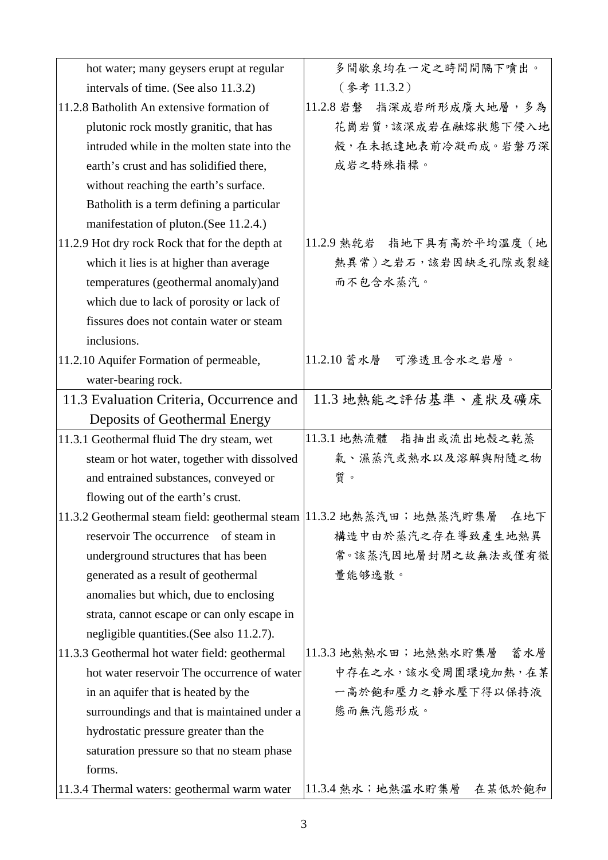| hot water; many geysers erupt at regular       | 多間歇泉均在一定之時間間隔下噴出。                                                          |
|------------------------------------------------|----------------------------------------------------------------------------|
| intervals of time. (See also 11.3.2)           | (參考11.3.2)                                                                 |
| 11.2.8 Batholith An extensive formation of     | 11.2.8 岩磐 指深成岩所形成廣大地層,多為                                                   |
| plutonic rock mostly granitic, that has        | 花崗岩質,該深成岩在融熔狀態下侵入地                                                         |
| intruded while in the molten state into the    | 殼,在未抵達地表前冷凝而成。岩磐乃深                                                         |
| earth's crust and has solidified there,        | 成岩之特殊指標。                                                                   |
| without reaching the earth's surface.          |                                                                            |
| Batholith is a term defining a particular      |                                                                            |
| manifestation of pluton. (See 11.2.4.)         |                                                                            |
| 11.2.9 Hot dry rock Rock that for the depth at | 11.2.9 熱乾岩 指地下具有高於平均溫度 (地                                                  |
| which it lies is at higher than average        | 熱異常)之岩石,該岩因缺乏孔隙或裂縫                                                         |
| temperatures (geothermal anomaly)and           | 而不包含水蒸汽。                                                                   |
| which due to lack of porosity or lack of       |                                                                            |
| fissures does not contain water or steam       |                                                                            |
| inclusions.                                    |                                                                            |
| 11.2.10 Aquifer Formation of permeable,        | 11.2.10 蓄水層 可滲透且含水之岩層。                                                     |
| water-bearing rock.                            |                                                                            |
| 11.3 Evaluation Criteria, Occurrence and       | 11.3 地熱能之評估基準、產狀及礦床                                                        |
| Deposits of Geothermal Energy                  |                                                                            |
| 11.3.1 Geothermal fluid The dry steam, wet     | 11.3.1 地熱流體 指抽出或流出地殼之乾蒸                                                    |
| steam or hot water, together with dissolved    | 氣、濕蒸汽或熱水以及溶解與附隨之物                                                          |
| and entrained substances, conveyed or          | 質。                                                                         |
| flowing out of the earth's crust.              |                                                                            |
|                                                | 11.3.2 Geothermal steam field: geothermal steam  11.3.2 地熱蒸汽田; 地熱蒸汽貯集層 在地下 |
| reservoir The occurrence of steam in           | 構造中由於蒸汽之存在導致產生地熱異                                                          |
| underground structures that has been           | 常。該蒸汽因地層封閉之故無法或僅有微                                                         |
| generated as a result of geothermal            | 量能够逸散。                                                                     |
| anomalies but which, due to enclosing          |                                                                            |
| strata, cannot escape or can only escape in    |                                                                            |
| negligible quantities. (See also 11.2.7).      |                                                                            |
| 11.3.3 Geothermal hot water field: geothermal  | 11.3.3 地熱熱水田;地熱熱水貯集層<br>蓄水層                                                |
| hot water reservoir The occurrence of water    | 中存在之水, 該水受周圍環境加熱, 在某                                                       |
| in an aquifer that is heated by the            | 一高於飽和壓力之靜水壓下得以保持液                                                          |
| surroundings and that is maintained under a    | 態而無汽態形成。                                                                   |
| hydrostatic pressure greater than the          |                                                                            |
| saturation pressure so that no steam phase     |                                                                            |
| forms.                                         |                                                                            |
| 11.3.4 Thermal waters: geothermal warm water   | 11.3.4 熱水;地熱溫水貯集層<br>在某低於飽和                                                |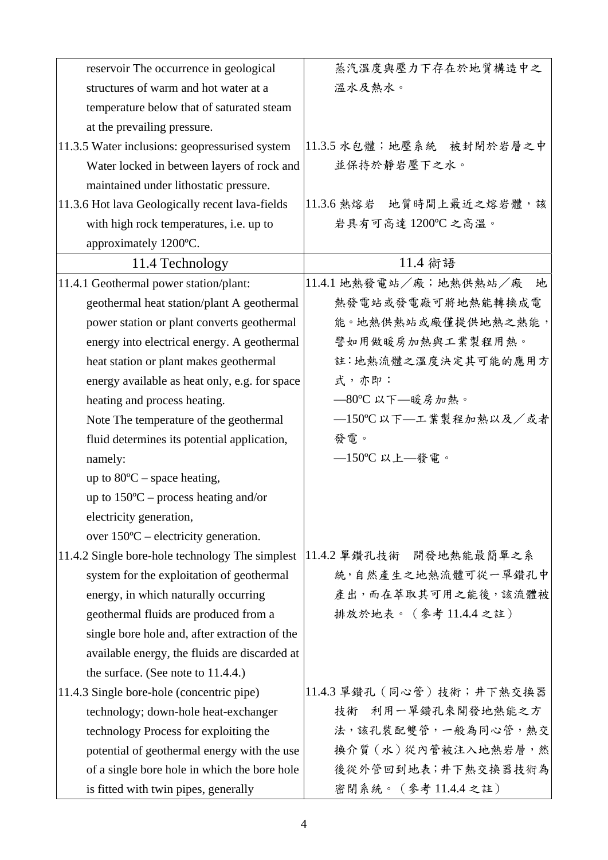| reservoir The occurrence in geological          | 蒸汽温度與壓力下存在於地質構造中之          |
|-------------------------------------------------|----------------------------|
| structures of warm and hot water at a           | 溫水及熱水。                     |
| temperature below that of saturated steam       |                            |
| at the prevailing pressure.                     |                            |
| 11.3.5 Water inclusions: geopressurised system  | 11.3.5 水包體; 地壓系統 被封閉於岩層之中  |
| Water locked in between layers of rock and      | 並保持於靜岩壓下之水。                |
| maintained under lithostatic pressure.          |                            |
| 11.3.6 Hot lava Geologically recent lava-fields | 11.3.6 熱熔岩 地質時間上最近之熔岩體,該   |
| with high rock temperatures, i.e. up to         | 岩具有可高達 1200℃ 之高溫。          |
| approximately 1200°C.                           |                            |
| 11.4 Technology                                 | 11.4 術語                    |
| 11.4.1 Geothermal power station/plant:          | 11.4.1 地熱發電站/廠;地熱供熱站/廠 地   |
| geothermal heat station/plant A geothermal      | 熱發電站或發電廠可將地熱能轉換成電          |
| power station or plant converts geothermal      | 能。地熱供熱站或廠僅提供地熱之熱能,         |
| energy into electrical energy. A geothermal     | 譬如用做暖房加熱與工業製程用熱。           |
| heat station or plant makes geothermal          | 註:地熱流體之溫度決定其可能的應用方         |
| energy available as heat only, e.g. for space   | 式,亦即:                      |
| heating and process heating.                    | -80℃ 以下––暖房加熱。             |
| Note The temperature of the geothermal          | -150℃以下--工業製程加熱以及/或者       |
| fluid determines its potential application,     | 發電。                        |
| namely:                                         | $-150$ °C 以上–發電。           |
| up to $80^{\circ}$ C – space heating,           |                            |
| up to $150^{\circ}$ C – process heating and/or  |                            |
| electricity generation,                         |                            |
| over $150^{\circ}$ C – electricity generation.  |                            |
| 11.4.2 Single bore-hole technology The simplest | 11.4.2 单鑽孔技術 開發地熱能最簡單之系    |
| system for the exploitation of geothermal       | 統,自然產生之地熱流體可從一單鑽孔中         |
| energy, in which naturally occurring            | 產出,而在萃取其可用之能後,該流體被         |
| geothermal fluids are produced from a           | 排放於地表。(參考11.4.4之註)         |
| single bore hole and, after extraction of the   |                            |
| available energy, the fluids are discarded at   |                            |
| the surface. (See note to $11.4.4$ .)           |                            |
| 11.4.3 Single bore-hole (concentric pipe)       | 11.4.3 單鑽孔 (同心管) 技術;井下熱交換器 |
| technology; down-hole heat-exchanger            | 技術 利用一單鑽孔來開發地熱能之方          |
| technology Process for exploiting the           | 法,該孔裝配雙管,一般為同心管,熱交         |
| potential of geothermal energy with the use     | 換介質 (水)從內管被注入地熱岩層,然        |
| of a single bore hole in which the bore hole    | 後從外管回到地表;井下熱交換器技術為         |
| is fitted with twin pipes, generally            | 密閉系統。 (參考11.4.4之註)         |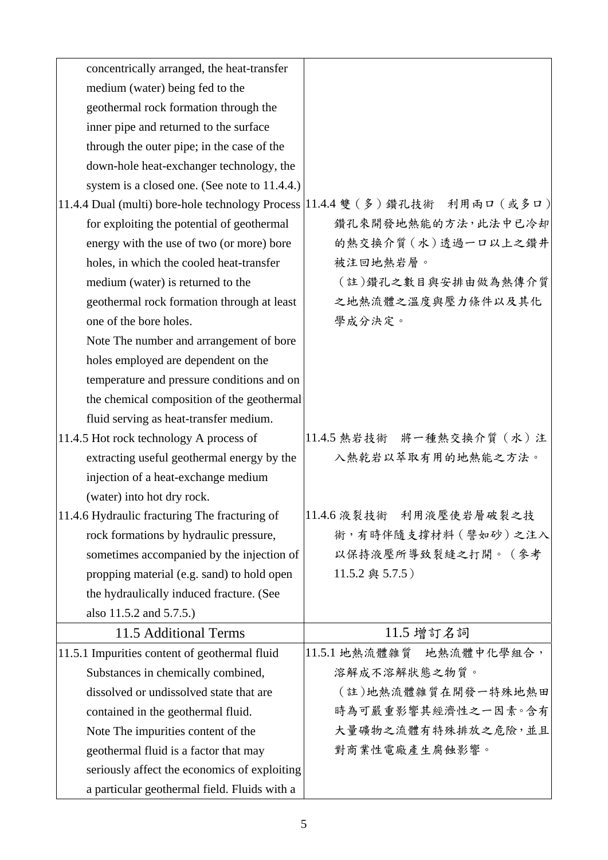| concentrically arranged, the heat-transfer    |                                                                              |
|-----------------------------------------------|------------------------------------------------------------------------------|
| medium (water) being fed to the               |                                                                              |
| geothermal rock formation through the         |                                                                              |
| inner pipe and returned to the surface        |                                                                              |
| through the outer pipe; in the case of the    |                                                                              |
| down-hole heat-exchanger technology, the      |                                                                              |
| system is a closed one. (See note to 11.4.4.) |                                                                              |
|                                               | 11.4.4 Dual (multi) bore-hole technology Process 11.4.4 雙 (多)鑽孔技術 利用兩口 (或多口) |
| for exploiting the potential of geothermal    | 鑽孔來開發地熱能的方法,此法中已冷却                                                           |
| energy with the use of two (or more) bore     | 的熱交換介質 (水)透過一口以上之鑽井                                                          |
| holes, in which the cooled heat-transfer      | 被注回地熱岩層。                                                                     |
| medium (water) is returned to the             | (註)鑽孔之數目與安排由做為熱傳介質                                                           |
| geothermal rock formation through at least    | 之地熱流體之溫度與壓力條件以及其化                                                            |
| one of the bore holes.                        | 學成分決定。                                                                       |
| Note The number and arrangement of bore       |                                                                              |
| holes employed are dependent on the           |                                                                              |
| temperature and pressure conditions and on    |                                                                              |
| the chemical composition of the geothermal    |                                                                              |
| fluid serving as heat-transfer medium.        |                                                                              |
| 11.4.5 Hot rock technology A process of       | 11.4.5 熱岩技術 將一種熱交換介質 (水)注                                                    |
| extracting useful geothermal energy by the    | 入熱乾岩以萃取有用的地熱能之方法。                                                            |
| injection of a heat-exchange medium           |                                                                              |
| (water) into hot dry rock.                    |                                                                              |
| 11.4.6 Hydraulic fracturing The fracturing of | 11.4.6 液裂技術 利用液壓使岩層破裂之技                                                      |
| rock formations by hydraulic pressure,        | 術,有時伴隨支撐材料(譬如砂)之注入                                                           |
| sometimes accompanied by the injection of     | 以保持液壓所導致裂縫之打開。(參考                                                            |
| propping material (e.g. sand) to hold open    | 11.5.2 與 5.7.5)                                                              |
| the hydraulically induced fracture. (See      |                                                                              |
| also 11.5.2 and 5.7.5.)                       |                                                                              |
| 11.5 Additional Terms                         | 11.5 增訂名詞                                                                    |
| 11.5.1 Impurities content of geothermal fluid | 11.5.1 地熱流體雜質 地熱流體中化學組合,                                                     |
| Substances in chemically combined,            | 溶解成不溶解狀態之物質。                                                                 |
| dissolved or undissolved state that are       | (註)地熱流體雜質在開發一特殊地熱田                                                           |
| contained in the geothermal fluid.            | 時為可嚴重影響其經濟性之一因素。含有                                                           |
| Note The impurities content of the            | 大量礦物之流體有特殊排放之危險,並且                                                           |
| geothermal fluid is a factor that may         | 對商業性電廠產生腐蝕影響。                                                                |
| seriously affect the economics of exploiting  |                                                                              |
| a particular geothermal field. Fluids with a  |                                                                              |